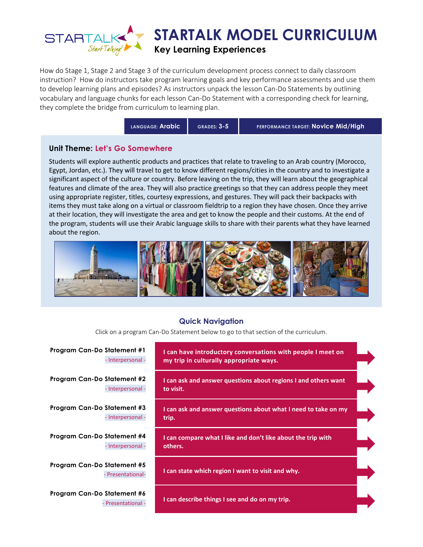

How do Stage 1, Stage 2 and Stage 3 of the curriculum development process connect to daily classroom instruction? How do instructors take program learning goals and key performance assessments and use them to develop learning plans and episodes? As instructors unpack the lesson Can-Do Statements by outlining vocabulary and language chunks for each lesson Can-Do Statement with a corresponding check for learning, they complete the bridge from curriculum to learning plan.

**LANGUAGE: Arabic GRADES: 3-5 PERFORMANCE TARGET: Novice Mid/High**

## **Unit Theme: Let's Go Somewhere**

Students will explore authentic products and practices that relate to traveling to an Arab country (Morocco, Egypt, Jordan, etc.). They will travel to get to know different regions/cities in the country and to investigate a significant aspect of the culture or country. Before leaving on the trip, they will learn about the geographical features and climate of the area. They will also practice greetings so that they can address people they meet using appropriate register, titles, courtesy expressions, and gestures. They will pack their backpacks with items they must take along on a virtual or classroom fieldtrip to a region they have chosen. Once they arrive at their location, they will investigate the area and get to know the people and their customs. At the end of the program, students will use their Arabic language skills to share with their parents what they have learned about the region.



#### **Quick Navigation**

Click on a program Can-Do Statement below to go to that section of the curriculum.

| <b>Program Can-Do Statement #1</b><br>- Interpersonal - | I can have introductory conversations with people I meet on<br>my trip in culturally appropriate ways. |  |
|---------------------------------------------------------|--------------------------------------------------------------------------------------------------------|--|
| Program Can-Do Statement #2<br>- Interpersonal -        | I can ask and answer questions about regions I and others want<br>to visit.                            |  |
| Program Can-Do Statement #3<br>- Interpersonal -        | I can ask and answer questions about what I need to take on my<br>trip.                                |  |
| Program Can-Do Statement #4<br>- Interpersonal -        | I can compare what I like and don't like about the trip with<br>others.                                |  |
| Program Can-Do Statement #5<br>Presentational-          | I can state which region I want to visit and why.                                                      |  |
| Program Can-Do Statement #6<br>- Presentational -       | I can describe things I see and do on my trip.                                                         |  |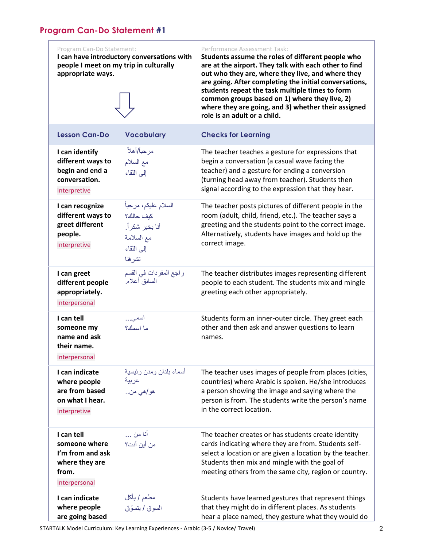<span id="page-1-0"></span>

| Program Can-Do Statement:<br>people I meet on my trip in culturally<br>appropriate ways.    | I can have introductory conversations with                                                 | Performance Assessment Task:<br>Students assume the roles of different people who<br>are at the airport. They talk with each other to find<br>out who they are, where they live, and where they<br>are going. After completing the initial conversations,<br>students repeat the task multiple times to form<br>common groups based on 1) where they live, 2)<br>where they are going, and 3) whether their assigned<br>role is an adult or a child. |
|---------------------------------------------------------------------------------------------|--------------------------------------------------------------------------------------------|------------------------------------------------------------------------------------------------------------------------------------------------------------------------------------------------------------------------------------------------------------------------------------------------------------------------------------------------------------------------------------------------------------------------------------------------------|
| <b>Lesson Can-Do</b>                                                                        | <b>Vocabulary</b>                                                                          | <b>Checks for Learning</b>                                                                                                                                                                                                                                                                                                                                                                                                                           |
| I can identify<br>different ways to<br>begin and end a<br>conversation.<br>Interpretive     | مرحبأ/أهلأ<br>مع السلام<br>إلى اللقاء                                                      | The teacher teaches a gesture for expressions that<br>begin a conversation (a casual wave facing the<br>teacher) and a gesture for ending a conversion<br>(turning head away from teacher). Students then<br>signal according to the expression that they hear.                                                                                                                                                                                      |
| I can recognize<br>different ways to<br>greet different<br>people.<br>Interpretive          | السلام عليكم، مرحباً<br>كيف حالك؟<br>أنا بخير شكراً.<br>مع السلامة<br>إلى اللقاء<br>تشرفنا | The teacher posts pictures of different people in the<br>room (adult, child, friend, etc.). The teacher says a<br>greeting and the students point to the correct image.<br>Alternatively, students have images and hold up the<br>correct image.                                                                                                                                                                                                     |
| I can greet<br>different people<br>appropriately.<br>Interpersonal                          | راجع المفردات في القسم<br>السابق أعلاه.                                                    | The teacher distributes images representing different<br>people to each student. The students mix and mingle<br>greeting each other appropriately.                                                                                                                                                                                                                                                                                                   |
| I can tell<br>someone my<br>name and ask<br>their name.<br>Interpersonal                    | اسمى<br>ما اسمك؟                                                                           | Students form an inner-outer circle. They greet each<br>other and then ask and answer questions to learn<br>names.                                                                                                                                                                                                                                                                                                                                   |
| I can indicate<br>where people<br>are from based<br>on what I hear.<br>Interpretive         | أسماء بلدان ومدن رئيسية<br>عربية<br>هو  هي من                                              | The teacher uses images of people from places (cities,<br>countries) where Arabic is spoken. He/she introduces<br>a person showing the image and saying where the<br>person is from. The students write the person's name<br>in the correct location.                                                                                                                                                                                                |
| I can tell<br>someone where<br>I'm from and ask<br>where they are<br>from.<br>Interpersonal | أنـا من …<br>من أين أنت؟                                                                   | The teacher creates or has students create identity<br>cards indicating where they are from. Students self-<br>select a location or are given a location by the teacher.<br>Students then mix and mingle with the goal of<br>meeting others from the same city, region or country.                                                                                                                                                                   |
| I can indicate<br>where people<br>are going based                                           | مطعم / يأكل<br>السوق / يتسوّق                                                              | Students have learned gestures that represent things<br>that they might do in different places. As students<br>hear a place named, they gesture what they would do                                                                                                                                                                                                                                                                                   |

STARTALK Model Curriculum: Key Learning Experiences - Arabic (3-5 / Novice/ Travel) 2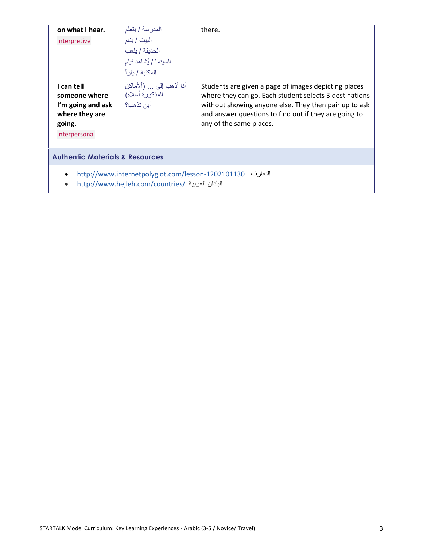| on what I hear.<br>Interpretive                                                               | المدرسة / يتعلم<br>البيت / ينام<br>الحديقة / يلعب<br>السينما / يُشاهد فيلم<br>المكتبة / بقر أ                 | there.                                                                                                                                                                                                                                                      |
|-----------------------------------------------------------------------------------------------|---------------------------------------------------------------------------------------------------------------|-------------------------------------------------------------------------------------------------------------------------------------------------------------------------------------------------------------------------------------------------------------|
| I can tell<br>someone where<br>I'm going and ask<br>where they are<br>going.<br>Interpersonal | أنا أذهب إلى  (ألأماكن<br>المذكورة أعلاه)<br>أبن تذهب؟                                                        | Students are given a page of images depicting places<br>where they can go. Each student selects 3 destinations<br>without showing anyone else. They then pair up to ask<br>and answer questions to find out if they are going to<br>any of the same places. |
| <b>Authentic Materials &amp; Resources</b>                                                    |                                                                                                               |                                                                                                                                                                                                                                                             |
|                                                                                               | التعارف http://www.internetpolyglot.com/lesson-1202101130<br>البلدان العربية /http://www.hejleh.com/countries |                                                                                                                                                                                                                                                             |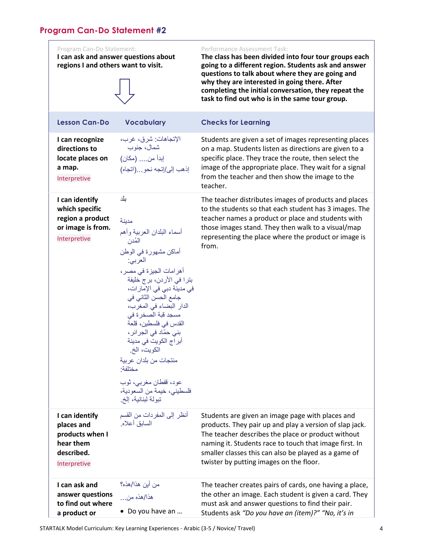# <span id="page-3-0"></span>**Program Can-Do Statement #2**

| Program Can-Do Statement:<br>regions I and others want to visit.                           | I can ask and answer questions about                                                                                                                                                                                                                                                                                                                                                                                                                                  | Performance Assessment Task:<br>The class has been divided into four tour groups each<br>going to a different region. Students ask and answer<br>questions to talk about where they are going and<br>why they are interested in going there. After<br>completing the initial conversation, they repeat the<br>task to find out who is in the same tour group. |
|--------------------------------------------------------------------------------------------|-----------------------------------------------------------------------------------------------------------------------------------------------------------------------------------------------------------------------------------------------------------------------------------------------------------------------------------------------------------------------------------------------------------------------------------------------------------------------|---------------------------------------------------------------------------------------------------------------------------------------------------------------------------------------------------------------------------------------------------------------------------------------------------------------------------------------------------------------|
| <b>Lesson Can-Do</b>                                                                       | <b>Vocabulary</b>                                                                                                                                                                                                                                                                                                                                                                                                                                                     | <b>Checks for Learning</b>                                                                                                                                                                                                                                                                                                                                    |
| I can recognize<br>directions to<br>locate places on<br>a map.<br>Interpretive             | الإتجاهات: شرق، غرب،<br>شمال، جنوب<br>إبدأ من (مكان)<br>إذهب إلى/إتجه نحو(اتجاه)                                                                                                                                                                                                                                                                                                                                                                                      | Students are given a set of images representing places<br>on a map. Students listen as directions are given to a<br>specific place. They trace the route, then select the<br>image of the appropriate place. They wait for a signal<br>from the teacher and then show the image to the<br>teacher.                                                            |
| I can identify<br>which specific<br>region a product<br>or image is from.<br>Interpretive  | بلد<br>مدينة<br>أسماء البلدان العربية وأهم<br>المُدن<br>أماكن مشهورة في الوطن<br>العربي:<br>أهر امات الجيزة في مصر ،<br>بترا في الأردن، برج خليفة<br>في مدينة دبي في الإمارات،<br>جامع الحسن الثاني في<br>الدار البضاء في المغرب،<br>مسجد قبة الصخرة في<br>القدس في فلسطين، قلعة<br>بنى حمّاد فى الجرائر،<br>أبر اج الكويت في مدينة<br>الكويت، الخ.<br>منتجات من بلدان عربية<br>مختلفة:<br>عود، قفطان مغربي، ثوب<br>فلسطيني، خيمة من السعودية،<br>تبولة لبنانية، إلخ. | The teacher distributes images of products and places<br>to the students so that each student has 3 images. The<br>teacher names a product or place and students with<br>those images stand. They then walk to a visual/map<br>representing the place where the product or image is<br>from.                                                                  |
| I can identify<br>places and<br>products when I<br>hear them<br>described.<br>Interpretive | أنظر إلى المفردات من القسم<br>السابق أعلاه.                                                                                                                                                                                                                                                                                                                                                                                                                           | Students are given an image page with places and<br>products. They pair up and play a version of slap jack.<br>The teacher describes the place or product without<br>naming it. Students race to touch that image first. In<br>smaller classes this can also be played as a game of<br>twister by putting images on the floor.                                |
| I can ask and<br>answer questions<br>to find out where<br>a product or                     | من أين هذا/هذه؟<br>هذا/هذه من<br>• Do you have an                                                                                                                                                                                                                                                                                                                                                                                                                     | The teacher creates pairs of cards, one having a place,<br>the other an image. Each student is given a card. They<br>must ask and answer questions to find their pair.<br>Students ask "Do you have an (item)?" "No, it's in                                                                                                                                  |

STARTALK Model Curriculum: Key Learning Experiences - Arabic (3-5 / Novice/ Travel) 4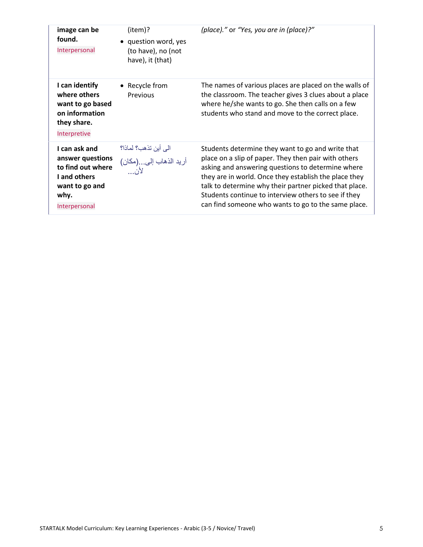| image can be<br>found.<br>Interpersonal                                                                           | (item)?<br>• question word, yes<br>(to have), no (not<br>have), it (that) | (place)." or "Yes, you are in (place)?"                                                                                                                                                                                                                                                                                                                                                          |
|-------------------------------------------------------------------------------------------------------------------|---------------------------------------------------------------------------|--------------------------------------------------------------------------------------------------------------------------------------------------------------------------------------------------------------------------------------------------------------------------------------------------------------------------------------------------------------------------------------------------|
| I can identify<br>where others<br>want to go based<br>on information<br>they share.<br>Interpretive               | • Recycle from<br>Previous                                                | The names of various places are placed on the walls of<br>the classroom. The teacher gives 3 clues about a place<br>where he/she wants to go. She then calls on a few<br>students who stand and move to the correct place.                                                                                                                                                                       |
| I can ask and<br>answer questions<br>to find out where<br>I and others<br>want to go and<br>why.<br>Interpersonal | الى أين تذهب؟ لماذا؟<br>أريد الذهاب إلى(مكان)<br>لأن                      | Students determine they want to go and write that<br>place on a slip of paper. They then pair with others<br>asking and answering questions to determine where<br>they are in world. Once they establish the place they<br>talk to determine why their partner picked that place.<br>Students continue to interview others to see if they<br>can find someone who wants to go to the same place. |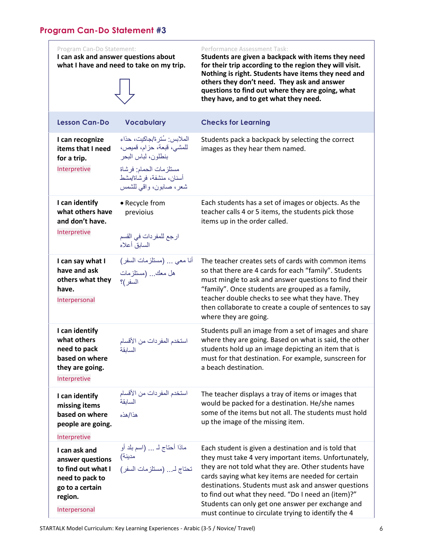## <span id="page-5-0"></span>**Program Can-Do Statement #3**

|                                                                                                               | <u>ogrum Can-Do siglement #3</u>                                      |                                                                                                                                                               |                                                                                                                                                                                                                                                                                                                                                  |  |
|---------------------------------------------------------------------------------------------------------------|-----------------------------------------------------------------------|---------------------------------------------------------------------------------------------------------------------------------------------------------------|--------------------------------------------------------------------------------------------------------------------------------------------------------------------------------------------------------------------------------------------------------------------------------------------------------------------------------------------------|--|
| Program Can-Do Statement:<br>I can ask and answer questions about<br>what I have and need to take on my trip. |                                                                       |                                                                                                                                                               | Performance Assessment Task:<br>Students are given a backpack with items they need<br>for their trip according to the region they will visit.<br>Nothing is right. Students have items they need and<br>others they don't need. They ask and answer<br>questions to find out where they are going, what<br>they have, and to get what they need. |  |
|                                                                                                               | <b>Lesson Can-Do</b>                                                  | <b>Vocabulary</b>                                                                                                                                             | <b>Checks for Learning</b>                                                                                                                                                                                                                                                                                                                       |  |
|                                                                                                               | I can recognize<br>items that I need<br>for a trip.<br>Interpretive   | الملابس: سُتر ة/جاكيت، حذاء<br>للمشي، قبعة، حزام، قميص،<br>بنطلون، لباس البحر<br>مستلزمات الحمام: فرشاة<br>أسنان، منشفة، فر شاة/مشط<br>شعر، صابون، واقى للشمس | Students pack a backpack by selecting the correct<br>images as they hear them named.                                                                                                                                                                                                                                                             |  |
|                                                                                                               | I can identify<br>what others have<br>and don't have.<br>Interpretive | • Recycle from<br>previoius<br>ارجع للمفردات في القسم<br>السابق أعلاه                                                                                         | Each students has a set of images or objects. As the<br>teacher calls 4 or 5 items, the students pick those<br>items up in the order called.                                                                                                                                                                                                     |  |
|                                                                                                               | I can say what I<br>have and ask                                      | أنا معي … (مستلزمات السفر)<br>هل معك  (مستلزمات                                                                                                               | The teacher creates sets of cards with common items<br>so that there are 4 cards for each "family". Students                                                                                                                                                                                                                                     |  |

**have.**  Interpersonal

**others what they** 

السفر(؟

| I can identify<br>what others<br>need to pack<br>based on where<br>they are going.<br>Interpretive | من الأقسام<br>السانقة |
|----------------------------------------------------------------------------------------------------|-----------------------|
| I can identify<br>missing items                                                                    | من الأقسام<br>السائقة |
| based on where                                                                                     | هذا/هذه               |

# **people are going.**  Interpretive **I can ask and**  مدينة(

**answer questions to find out what I need to pack to go to a certain region.**  Interpersonal

ماذا أحتاج لـ ... )اسم بلد أو تحتاج لـ... )مستلزمات السفر(

استخدم المفردات

استخدم المفر دات

up the image of the missing item. Each student is given a destination and is told that they must take 4 very important items. Unfortunately, they are not told what they are. Other students have cards saying what key items are needed for certain

The teacher displays a tray of items or images that would be packed for a destination. He/she names some of the items but not all. The students must hold

must mingle to ask and answer questions to find their "family". Once students are grouped as a family, teacher double checks to see what they have. They then collaborate to create a couple of sentences to say

Students pull an image from a set of images and share where they are going. Based on what is said, the other students hold up an image depicting an item that is must for that destination. For example, sunscreen for

where they are going.

a beach destination.

destinations. Students must ask and answer questions to find out what they need. "Do I need an (item)?" Students can only get one answer per exchange and must continue to circulate trying to identify the 4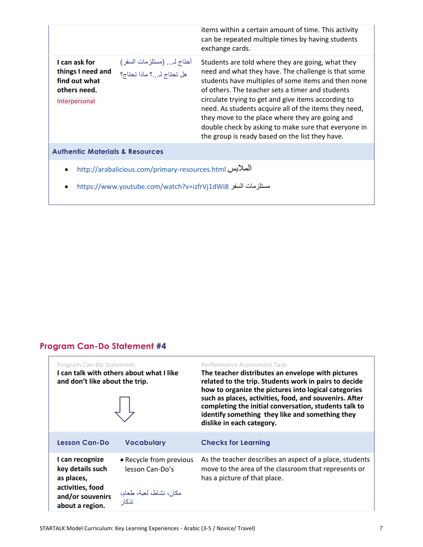<span id="page-6-0"></span>

|                                                                                                              |                                                                             | items within a certain amount of time. This activity<br>can be repeated multiple times by having students<br>exchange cards.                                                                                                                                                                                                                                                                                                                                                                      |
|--------------------------------------------------------------------------------------------------------------|-----------------------------------------------------------------------------|---------------------------------------------------------------------------------------------------------------------------------------------------------------------------------------------------------------------------------------------------------------------------------------------------------------------------------------------------------------------------------------------------------------------------------------------------------------------------------------------------|
| I can ask for<br>things I need and<br>find out what<br>others need.<br>Interpersonal                         | أحتاج لـ (مستلزمات السفر)<br>ب<br>هل تحتاج لـ <sub>ــــ</sub> ؟ ماذا تحتاج؟ | Students are told where they are going, what they<br>need and what they have. The challenge is that some<br>students have multiples of some items and then none<br>of others. The teacher sets a timer and students<br>circulate trying to get and give items according to<br>need. As students acquire all of the items they need,<br>they move to the place where they are going and<br>double check by asking to make sure that everyone in<br>the group is ready based on the list they have. |
| <b>Authentic Materials &amp; Resources</b>                                                                   |                                                                             |                                                                                                                                                                                                                                                                                                                                                                                                                                                                                                   |
| $\bullet$                                                                                                    |                                                                             |                                                                                                                                                                                                                                                                                                                                                                                                                                                                                                   |
| http://arabalicious.com/primary-resources.html<br>مستلزمات السفر https://www.youtube.com/watch?v=izfrVj1dWi8 |                                                                             |                                                                                                                                                                                                                                                                                                                                                                                                                                                                                                   |

# **Program Can-Do Statement #4**

| Program Can-Do Statement:<br>and don't like about the trip.                                                  | I can talk with others about what I like                                       | Performance Assessment Task:<br>The teacher distributes an envelope with pictures<br>related to the trip. Students work in pairs to decide<br>how to organize the pictures into logical categories<br>such as places, activities, food, and souvenirs. After<br>completing the initial conversation, students talk to<br>identify something they like and something they<br>dislike in each category. |
|--------------------------------------------------------------------------------------------------------------|--------------------------------------------------------------------------------|-------------------------------------------------------------------------------------------------------------------------------------------------------------------------------------------------------------------------------------------------------------------------------------------------------------------------------------------------------------------------------------------------------|
| <b>Lesson Can-Do</b>                                                                                         | <b>Vocabulary</b>                                                              | <b>Checks for Learning</b>                                                                                                                                                                                                                                                                                                                                                                            |
| I can recognize<br>key details such<br>as places,<br>activities, food<br>and/or souvenirs<br>about a region. | • Recycle from previous<br>lesson Can-Do's<br>مكان، نشاط، لعبة، طعام،<br>تذكار | As the teacher describes an aspect of a place, students<br>move to the area of the classroom that represents or<br>has a picture of that place.                                                                                                                                                                                                                                                       |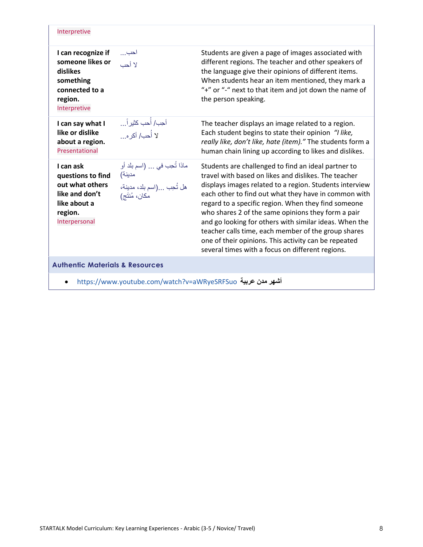| Interpretive                                                                                                    |                                                                                    |                                                                                                                                                                                                                                                                                                                                                                                                                                                                                                                                                                          |
|-----------------------------------------------------------------------------------------------------------------|------------------------------------------------------------------------------------|--------------------------------------------------------------------------------------------------------------------------------------------------------------------------------------------------------------------------------------------------------------------------------------------------------------------------------------------------------------------------------------------------------------------------------------------------------------------------------------------------------------------------------------------------------------------------|
| I can recognize if<br>someone likes or<br>dislikes<br>something<br>connected to a<br>region.<br>Interpretive    | احب<br>لا أحب                                                                      | Students are given a page of images associated with<br>different regions. The teacher and other speakers of<br>the language give their opinions of different items.<br>When students hear an item mentioned, they mark a<br>"+" or "-" next to that item and jot down the name of<br>the person speaking.                                                                                                                                                                                                                                                                |
| I can say what I<br>like or dislike<br>about a region.<br>Presentational                                        | أحِب/ أُحب كثيراً<br>لا أُحب/ أكر ه                                                | The teacher displays an image related to a region.<br>Each student begins to state their opinion "I like,<br>really like, don't like, hate (item)." The students form a<br>human chain lining up according to likes and dislikes.                                                                                                                                                                                                                                                                                                                                        |
| I can ask<br>questions to find<br>out what others<br>like and don't<br>like about a<br>region.<br>Interpersonal | ماذا تُحِب في  (اسم بلد أو<br>مدينة)<br>هل تُحِب (اسم بلد، مدينة،<br>مكان، مُنتَج) | Students are challenged to find an ideal partner to<br>travel with based on likes and dislikes. The teacher<br>displays images related to a region. Students interview<br>each other to find out what they have in common with<br>regard to a specific region. When they find someone<br>who shares 2 of the same opinions they form a pair<br>and go looking for others with similar ideas. When the<br>teacher calls time, each member of the group shares<br>one of their opinions. This activity can be repeated<br>several times with a focus on different regions. |
| <b>Authentic Materials &amp; Resources</b>                                                                      |                                                                                    |                                                                                                                                                                                                                                                                                                                                                                                                                                                                                                                                                                          |
|                                                                                                                 |                                                                                    | $\cdot$ .                                                                                                                                                                                                                                                                                                                                                                                                                                                                                                                                                                |

<https://www.youtube.com/watch?v=aWRyeSRFSuo> **عربية مدن أشهر**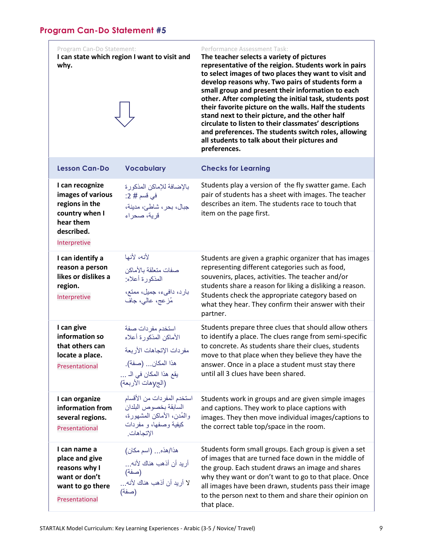<span id="page-8-0"></span>

| Program Can-Do Statement:<br>why.                                                                                   | I can state which region I want to visit and                                                                                               | Performance Assessment Task:<br>The teacher selects a variety of pictures<br>representative of the reigion. Students work in pairs<br>to select images of two places they want to visit and<br>develop reasons why. Two pairs of students form a<br>small group and present their information to each<br>other. After completing the initial task, students post<br>their favorite picture on the walls. Half the students<br>stand next to their picture, and the other half<br>circulate to listen to their classmates' descriptions<br>and preferences. The students switch roles, allowing<br>all students to talk about their pictures and<br>preferences. |
|---------------------------------------------------------------------------------------------------------------------|--------------------------------------------------------------------------------------------------------------------------------------------|-----------------------------------------------------------------------------------------------------------------------------------------------------------------------------------------------------------------------------------------------------------------------------------------------------------------------------------------------------------------------------------------------------------------------------------------------------------------------------------------------------------------------------------------------------------------------------------------------------------------------------------------------------------------|
| <b>Lesson Can-Do</b>                                                                                                | <b>Vocabulary</b>                                                                                                                          | <b>Checks for Learning</b>                                                                                                                                                                                                                                                                                                                                                                                                                                                                                                                                                                                                                                      |
| I can recognize<br>images of various<br>regions in the<br>country when I<br>hear them<br>described.<br>Interpretive | بالإضافة للإماكن المذكورة<br>في قسم # 2:<br>جبال، بحر، شاطئ، مدينة،<br>قرية، صحراء                                                         | Students play a version of the fly swatter game. Each<br>pair of students has a sheet with images. The teacher<br>describes an item. The students race to touch that<br>item on the page first.                                                                                                                                                                                                                                                                                                                                                                                                                                                                 |
| I can identify a<br>reason a person<br>likes or dislikes a<br>region.<br>Interpretive                               | لأنه، لأنها<br>صفات متعلقة بالأماكن<br>المذكورة أعلاه:<br>بارد، دافیء، جمیل، ممتع،<br>مُزعج، عالی، جاف                                     | Students are given a graphic organizer that has images<br>representing different categories such as food,<br>souvenirs, places, activities. The teacher and/or<br>students share a reason for liking a disliking a reason.<br>Students check the appropriate category based on<br>what they hear. They confirm their answer with their<br>partner.                                                                                                                                                                                                                                                                                                              |
| I can give<br>information so<br>that others can<br>locate a place.<br>Presentational                                | استخدم مفردات صفة<br>الأماكن المذكورة أعلاه<br>مفردات الإتجاهات الأربعة<br>هذا المكان (صفة).<br>يقع هذا المكان في الـ<br>(الجJهات الأربعة) | Students prepare three clues that should allow others<br>to identify a place. The clues range from semi-specific<br>to concrete. As students share their clues, students<br>move to that place when they believe they have the<br>answer. Once in a place a student must stay there<br>until all 3 clues have been shared.                                                                                                                                                                                                                                                                                                                                      |
| I can organize<br>information from<br>several regions.<br>Presentational                                            | استخدم المفردات من الأقسام<br>السابقة بخصوص البلدان<br>والمُدن، الأماكن المشهورة،<br>كيفية وصفها، و مفردات<br>الإتجاهات.                   | Students work in groups and are given simple images<br>and captions. They work to place captions with<br>images. They then move individual images/captions to<br>the correct table top/space in the room.                                                                                                                                                                                                                                                                                                                                                                                                                                                       |
| I can name a<br>place and give<br>reasons why I<br>want or don't<br>want to go there<br>Presentational              | هذا/هذه (اسم مكان)<br>أريد أن أذهب هناك لأنه<br>(صفة)<br>لا أريد أن أذهب هناك لأنه<br>(صفة)                                                | Students form small groups. Each group is given a set<br>of images that are turned face down in the middle of<br>the group. Each student draws an image and shares<br>why they want or don't want to go to that place. Once<br>all images have been drawn, students pass their image<br>to the person next to them and share their opinion on<br>that place.                                                                                                                                                                                                                                                                                                    |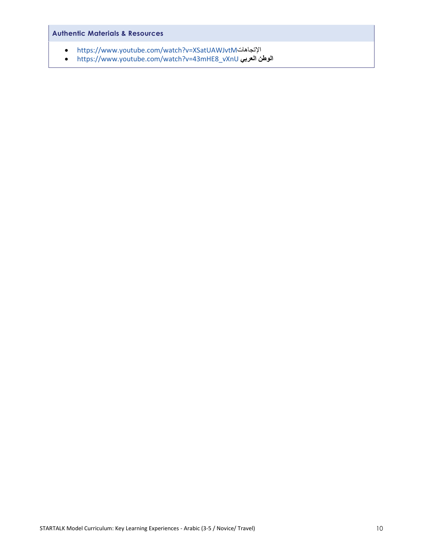## **Authentic Materials & Resources**

- <https://www.youtube.com/watch?v=XSatUAWJvtM>اإلتجاهات
- [https://www.youtube.com/watch?v=43mHE8\\_vXnU](https://www.youtube.com/watch?v=43mHE8_vXnU) **العربي الوطن**